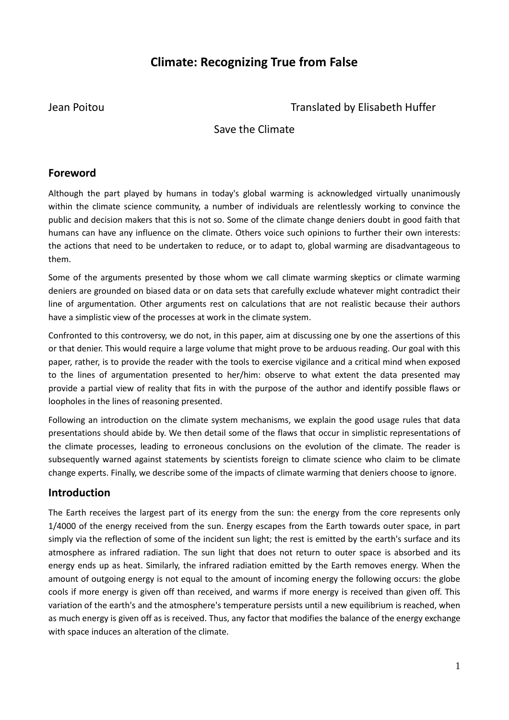# **Climate: Recognizing True from False**

Jean Poitou Translated by Elisabeth Huffer

# Save the Climate

# **Foreword**

Although the part played by humans in today's global warming is acknowledged virtually unanimously within the climate science community, a number of individuals are relentlessly working to convince the public and decision makers that this is not so. Some of the climate change deniers doubt in good faith that humans can have any influence on the climate. Others voice such opinions to further their own interests: the actions that need to be undertaken to reduce, or to adapt to, global warming are disadvantageous to them.

Some of the arguments presented by those whom we call climate warming skeptics or climate warming deniers are grounded on biased data or on data sets that carefully exclude whatever might contradict their line of argumentation. Other arguments rest on calculations that are not realistic because their authors have a simplistic view of the processes at work in the climate system.

Confronted to this controversy, we do not, in this paper, aim at discussing one by one the assertions of this or that denier. This would require a large volume that might prove to be arduous reading. Our goal with this paper, rather, is to provide the reader with the tools to exercise vigilance and a critical mind when exposed to the lines of argumentation presented to her/him: observe to what extent the data presented may provide a partial view of reality that fits in with the purpose of the author and identify possible flaws or loopholes in the lines of reasoning presented.

Following an introduction on the climate system mechanisms, we explain the good usage rules that data presentations should abide by. We then detail some of the flaws that occur in simplistic representations of the climate processes, leading to erroneous conclusions on the evolution of the climate. The reader is subsequently warned against statements by scientists foreign to climate science who claim to be climate change experts. Finally, we describe some of the impacts of climate warming that deniers choose to ignore.

# **Introduction**

The Earth receives the largest part of its energy from the sun: the energy from the core represents only 1/4000 of the energy received from the sun. Energy escapes from the Earth towards outer space, in part simply via the reflection of some of the incident sun light; the rest is emitted by the earth's surface and its atmosphere as infrared radiation. The sun light that does not return to outer space is absorbed and its energy ends up as heat. Similarly, the infrared radiation emitted by the Earth removes energy. When the amount of outgoing energy is not equal to the amount of incoming energy the following occurs: the globe cools if more energy is given off than received, and warms if more energy is received than given off. This variation of the earth's and the atmosphere's temperature persists until a new equilibrium is reached, when as much energy is given off as is received. Thus, any factor that modifies the balance of the energy exchange with space induces an alteration of the climate.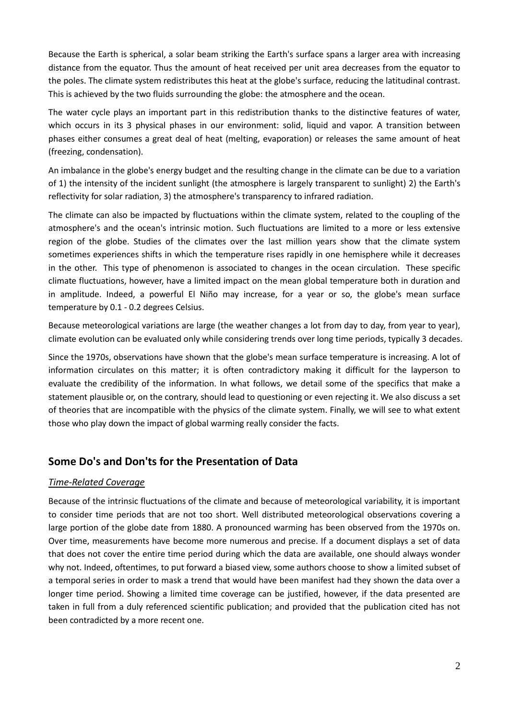Because the Earth is spherical, a solar beam striking the Earth's surface spans a larger area with increasing distance from the equator. Thus the amount of heat received per unit area decreases from the equator to the poles. The climate system redistributes this heat at the globe's surface, reducing the latitudinal contrast. This is achieved by the two fluids surrounding the globe: the atmosphere and the ocean.

The water cycle plays an important part in this redistribution thanks to the distinctive features of water, which occurs in its 3 physical phases in our environment: solid, liquid and vapor. A transition between phases either consumes a great deal of heat (melting, evaporation) or releases the same amount of heat (freezing, condensation).

An imbalance in the globe's energy budget and the resulting change in the climate can be due to a variation of 1) the intensity of the incident sunlight (the atmosphere is largely transparent to sunlight) 2) the Earth's reflectivity for solar radiation, 3) the atmosphere's transparency to infrared radiation.

The climate can also be impacted by fluctuations within the climate system, related to the coupling of the atmosphere's and the ocean's intrinsic motion. Such fluctuations are limited to a more or less extensive region of the globe. Studies of the climates over the last million years show that the climate system sometimes experiences shifts in which the temperature rises rapidly in one hemisphere while it decreases in the other. This type of phenomenon is associated to changes in the ocean circulation. These specific climate fluctuations, however, have a limited impact on the mean global temperature both in duration and in amplitude. Indeed, a powerful El Niño may increase, for a year or so, the globe's mean surface temperature by 0.1 - 0.2 degrees Celsius.

Because meteorological variations are large (the weather changes a lot from day to day, from year to year), climate evolution can be evaluated only while considering trends over long time periods, typically 3 decades.

Since the 1970s, observations have shown that the globe's mean surface temperature is increasing. A lot of information circulates on this matter; it is often contradictory making it difficult for the layperson to evaluate the credibility of the information. In what follows, we detail some of the specifics that make a statement plausible or, on the contrary, should lead to questioning or even rejecting it. We also discuss a set of theories that are incompatible with the physics of the climate system. Finally, we will see to what extent those who play down the impact of global warming really consider the facts.

# **Some Do's and Don'ts for the Presentation of Data**

# *Time-Related Coverage*

Because of the intrinsic fluctuations of the climate and because of meteorological variability, it is important to consider time periods that are not too short. Well distributed meteorological observations covering a large portion of the globe date from 1880. A pronounced warming has been observed from the 1970s on. Over time, measurements have become more numerous and precise. If a document displays a set of data that does not cover the entire time period during which the data are available, one should always wonder why not. Indeed, oftentimes, to put forward a biased view, some authors choose to show a limited subset of a temporal series in order to mask a trend that would have been manifest had they shown the data over a longer time period. Showing a limited time coverage can be justified, however, if the data presented are taken in full from a duly referenced scientific publication; and provided that the publication cited has not been contradicted by a more recent one.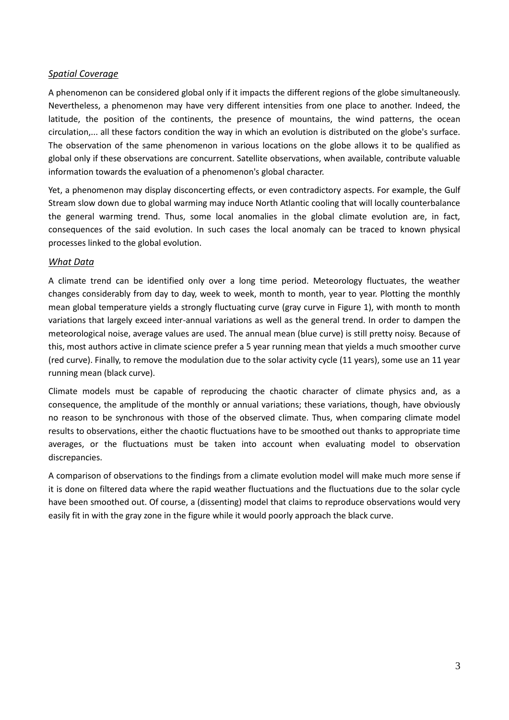#### *Spatial Coverage*

A phenomenon can be considered global only if it impacts the different regions of the globe simultaneously. Nevertheless, a phenomenon may have very different intensities from one place to another. Indeed, the latitude, the position of the continents, the presence of mountains, the wind patterns, the ocean circulation,... all these factors condition the way in which an evolution is distributed on the globe's surface. The observation of the same phenomenon in various locations on the globe allows it to be qualified as global only if these observations are concurrent. Satellite observations, when available, contribute valuable information towards the evaluation of a phenomenon's global character.

Yet, a phenomenon may display disconcerting effects, or even contradictory aspects. For example, the Gulf Stream slow down due to global warming may induce North Atlantic cooling that will locally counterbalance the general warming trend. Thus, some local anomalies in the global climate evolution are, in fact, consequences of the said evolution. In such cases the local anomaly can be traced to known physical processes linked to the global evolution.

## *What Data*

A climate trend can be identified only over a long time period. Meteorology fluctuates, the weather changes considerably from day to day, week to week, month to month, year to year. Plotting the monthly mean global temperature yields a strongly fluctuating curve (gray curve in Figure 1), with month to month variations that largely exceed inter-annual variations as well as the general trend. In order to dampen the meteorological noise, average values are used. The annual mean (blue curve) is still pretty noisy. Because of this, most authors active in climate science prefer a 5 year running mean that yields a much smoother curve (red curve). Finally, to remove the modulation due to the solar activity cycle (11 years), some use an 11 year running mean (black curve).

Climate models must be capable of reproducing the chaotic character of climate physics and, as a consequence, the amplitude of the monthly or annual variations; these variations, though, have obviously no reason to be synchronous with those of the observed climate. Thus, when comparing climate model results to observations, either the chaotic fluctuations have to be smoothed out thanks to appropriate time averages, or the fluctuations must be taken into account when evaluating model to observation discrepancies.

A comparison of observations to the findings from a climate evolution model will make much more sense if it is done on filtered data where the rapid weather fluctuations and the fluctuations due to the solar cycle have been smoothed out. Of course, a (dissenting) model that claims to reproduce observations would very easily fit in with the gray zone in the figure while it would poorly approach the black curve.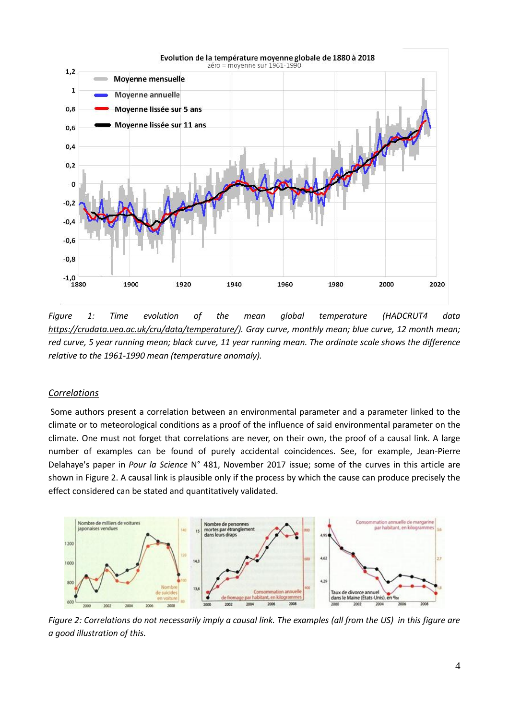

*Figure 1: Time evolution of the mean global temperature (HADCRUT4 data [https://crudata.uea.ac.uk/cru/data/temperature/\)](https://crudata.uea.ac.uk/cru/data/temperature/). Gray curve, monthly mean; blue curve, 12 month mean; red curve, 5 year running mean; black curve, 11 year running mean. The ordinate scale shows the difference relative to the 1961-1990 mean (temperature anomaly).*

#### *Correlations*

Some authors present a correlation between an environmental parameter and a parameter linked to the climate or to meteorological conditions as a proof of the influence of said environmental parameter on the climate. One must not forget that correlations are never, on their own, the proof of a causal link. A large number of examples can be found of purely accidental coincidences. See, for example, Jean-Pierre Delahaye's paper in *Pour la Science* N° 481, November 2017 issue; some of the curves in this article are shown in Figure 2. A causal link is plausible only if the process by which the cause can produce precisely the effect considered can be stated and quantitatively validated.



*Figure 2: Correlations do not necessarily imply a causal link. The examples (all from the US) in this figure are a good illustration of this.*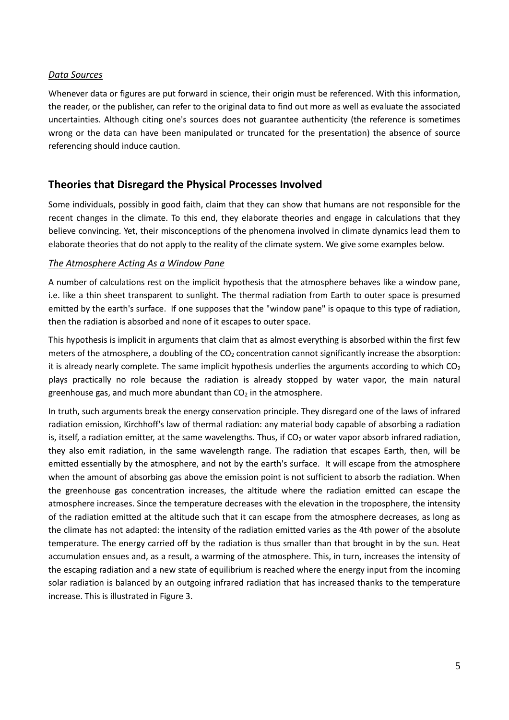#### *Data Sources*

Whenever data or figures are put forward in science, their origin must be referenced. With this information, the reader, or the publisher, can refer to the original data to find out more as well as evaluate the associated uncertainties. Although citing one's sources does not guarantee authenticity (the reference is sometimes wrong or the data can have been manipulated or truncated for the presentation) the absence of source referencing should induce caution.

# **Theories that Disregard the Physical Processes Involved**

Some individuals, possibly in good faith, claim that they can show that humans are not responsible for the recent changes in the climate. To this end, they elaborate theories and engage in calculations that they believe convincing. Yet, their misconceptions of the phenomena involved in climate dynamics lead them to elaborate theories that do not apply to the reality of the climate system. We give some examples below.

#### *The Atmosphere Acting As a Window Pane*

A number of calculations rest on the implicit hypothesis that the atmosphere behaves like a window pane, i.e. like a thin sheet transparent to sunlight. The thermal radiation from Earth to outer space is presumed emitted by the earth's surface. If one supposes that the "window pane" is opaque to this type of radiation, then the radiation is absorbed and none of it escapes to outer space.

This hypothesis is implicit in arguments that claim that as almost everything is absorbed within the first few meters of the atmosphere, a doubling of the CO<sub>2</sub> concentration cannot significantly increase the absorption: it is already nearly complete. The same implicit hypothesis underlies the arguments according to which  $CO<sub>2</sub>$ plays practically no role because the radiation is already stopped by water vapor, the main natural greenhouse gas, and much more abundant than  $CO<sub>2</sub>$  in the atmosphere.

In truth, such arguments break the energy conservation principle. They disregard one of the laws of infrared radiation emission, Kirchhoff's law of thermal radiation: any material body capable of absorbing a radiation is, itself, a radiation emitter, at the same wavelengths. Thus, if  $CO<sub>2</sub>$  or water vapor absorb infrared radiation, they also emit radiation, in the same wavelength range. The radiation that escapes Earth, then, will be emitted essentially by the atmosphere, and not by the earth's surface. It will escape from the atmosphere when the amount of absorbing gas above the emission point is not sufficient to absorb the radiation. When the greenhouse gas concentration increases, the altitude where the radiation emitted can escape the atmosphere increases. Since the temperature decreases with the elevation in the troposphere, the intensity of the radiation emitted at the altitude such that it can escape from the atmosphere decreases, as long as the climate has not adapted: the intensity of the radiation emitted varies as the 4th power of the absolute temperature. The energy carried off by the radiation is thus smaller than that brought in by the sun. Heat accumulation ensues and, as a result, a warming of the atmosphere. This, in turn, increases the intensity of the escaping radiation and a new state of equilibrium is reached where the energy input from the incoming solar radiation is balanced by an outgoing infrared radiation that has increased thanks to the temperature increase. This is illustrated in Figure 3.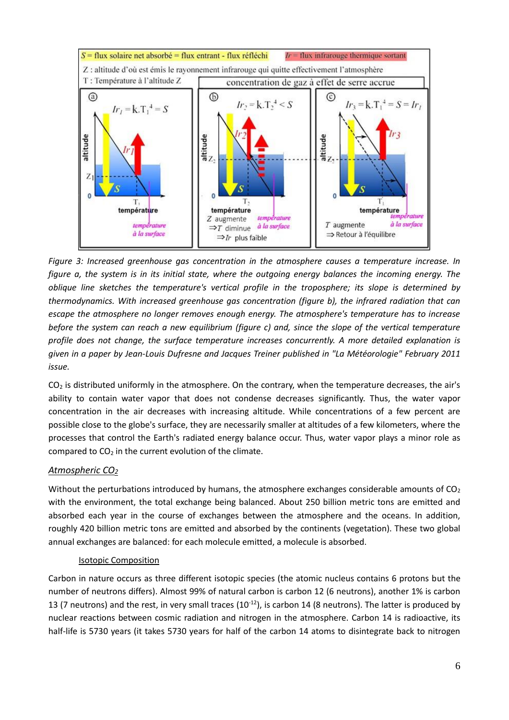

*Figure 3: Increased greenhouse gas concentration in the atmosphere causes a temperature increase. In figure a, the system is in its initial state, where the outgoing energy balances the incoming energy. The oblique line sketches the temperature's vertical profile in the troposphere; its slope is determined by thermodynamics. With increased greenhouse gas concentration (figure b), the infrared radiation that can escape the atmosphere no longer removes enough energy. The atmosphere's temperature has to increase before the system can reach a new equilibrium (figure c) and, since the slope of the vertical temperature profile does not change, the surface temperature increases concurrently. A more detailed explanation is given in a paper by Jean-Louis Dufresne and Jacques Treiner published in "La Météorologie" February 2011 issue.*

 $CO<sub>2</sub>$  is distributed uniformly in the atmosphere. On the contrary, when the temperature decreases, the air's ability to contain water vapor that does not condense decreases significantly. Thus, the water vapor concentration in the air decreases with increasing altitude. While concentrations of a few percent are possible close to the globe's surface, they are necessarily smaller at altitudes of a few kilometers, where the processes that control the Earth's radiated energy balance occur. Thus, water vapor plays a minor role as compared to  $CO<sub>2</sub>$  in the current evolution of the climate.

# *Atmospheric CO<sup>2</sup>*

Without the perturbations introduced by humans, the atmosphere exchanges considerable amounts of  $CO<sub>2</sub>$ with the environment, the total exchange being balanced. About 250 billion metric tons are emitted and absorbed each year in the course of exchanges between the atmosphere and the oceans. In addition, roughly 420 billion metric tons are emitted and absorbed by the continents (vegetation). These two global annual exchanges are balanced: for each molecule emitted, a molecule is absorbed.

# Isotopic Composition

Carbon in nature occurs as three different isotopic species (the atomic nucleus contains 6 protons but the number of neutrons differs). Almost 99% of natural carbon is carbon 12 (6 neutrons), another 1% is carbon 13 (7 neutrons) and the rest, in very small traces ( $10^{-12}$ ), is carbon 14 (8 neutrons). The latter is produced by nuclear reactions between cosmic radiation and nitrogen in the atmosphere. Carbon 14 is radioactive, its half-life is 5730 years (it takes 5730 years for half of the carbon 14 atoms to disintegrate back to nitrogen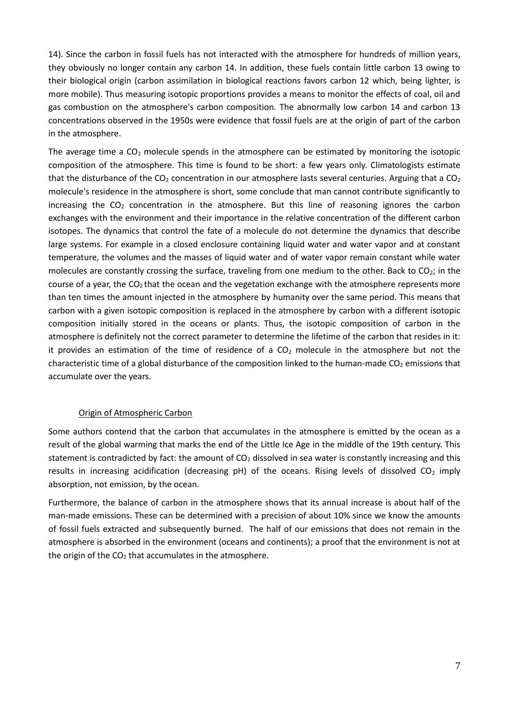14). Since the carbon in fossil fuels has not interacted with the atmosphere for hundreds of million years, they obviously no longer contain any carbon 14. In addition, these fuels contain little carbon 13 owing to their biological origin (carbon assimilation in biological reactions favors carbon 12 which, being lighter, is more mobile). Thus measuring isotopic proportions provides a means to monitor the effects of coal, oil and gas combustion on the atmosphere's carbon composition. The abnormally low carbon 14 and carbon 13 concentrations observed in the 1950s were evidence that fossil fuels are at the origin of part of the carbon in the atmosphere.

The average time a  $CO<sub>2</sub>$  molecule spends in the atmosphere can be estimated by monitoring the isotopic composition of the atmosphere. This time is found to be short: a few years only. Climatologists estimate that the disturbance of the  $CO<sub>2</sub>$  concentration in our atmosphere lasts several centuries. Arguing that a  $CO<sub>2</sub>$ molecule's residence in the atmosphere is short, some conclude that man cannot contribute significantly to increasing the  $CO<sub>2</sub>$  concentration in the atmosphere. But this line of reasoning ignores the carbon exchanges with the environment and their importance in the relative concentration of the different carbon isotopes. The dynamics that control the fate of a molecule do not determine the dynamics that describe large systems. For example in a closed enclosure containing liquid water and water vapor and at constant temperature, the volumes and the masses of liquid water and of water vapor remain constant while water molecules are constantly crossing the surface, traveling from one medium to the other. Back to  $CO<sub>2</sub>$ ; in the course of a year, the  $CO<sub>2</sub>$  that the ocean and the vegetation exchange with the atmosphere represents more than ten times the amount injected in the atmosphere by humanity over the same period. This means that carbon with a given isotopic composition is replaced in the atmosphere by carbon with a different isotopic composition initially stored in the oceans or plants. Thus, the isotopic composition of carbon in the atmosphere is definitely not the correct parameter to determine the lifetime of the carbon that resides in it: it provides an estimation of the time of residence of a  $CO<sub>2</sub>$  molecule in the atmosphere but not the characteristic time of a global disturbance of the composition linked to the human-made  $CO<sub>2</sub>$  emissions that accumulate over the years.

#### Origin of Atmospheric Carbon

Some authors contend that the carbon that accumulates in the atmosphere is emitted by the ocean as a result of the global warming that marks the end of the Little Ice Age in the middle of the 19th century. This statement is contradicted by fact: the amount of  $CO<sub>2</sub>$  dissolved in sea water is constantly increasing and this results in increasing acidification (decreasing  $pH$ ) of the oceans. Rising levels of dissolved CO<sub>2</sub> imply absorption, not emission, by the ocean.

Furthermore, the balance of carbon in the atmosphere shows that its annual increase is about half of the man-made emissions. These can be determined with a precision of about 10% since we know the amounts of fossil fuels extracted and subsequently burned. The half of our emissions that does not remain in the atmosphere is absorbed in the environment (oceans and continents); a proof that the environment is not at the origin of the  $CO<sub>2</sub>$  that accumulates in the atmosphere.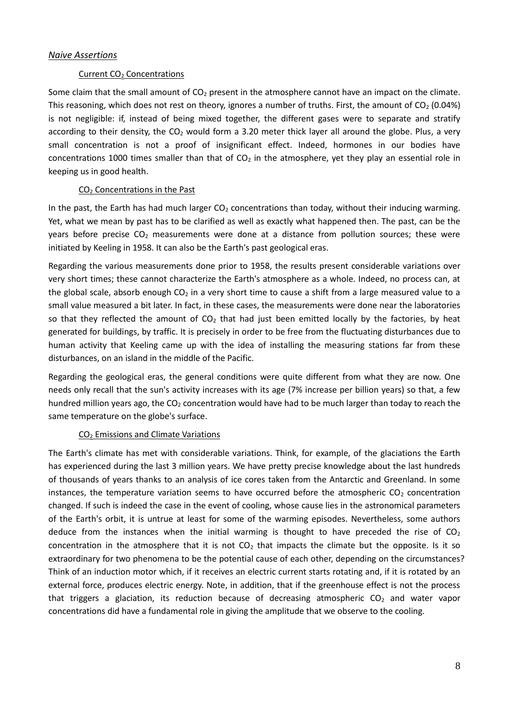#### *Naive Assertions*

#### Current CO<sub>2</sub> Concentrations

Some claim that the small amount of  $CO<sub>2</sub>$  present in the atmosphere cannot have an impact on the climate. This reasoning, which does not rest on theory, ignores a number of truths. First, the amount of  $CO<sub>2</sub>$  (0.04%) is not negligible: if, instead of being mixed together, the different gases were to separate and stratify according to their density, the  $CO<sub>2</sub>$  would form a 3.20 meter thick layer all around the globe. Plus, a very small concentration is not a proof of insignificant effect. Indeed, hormones in our bodies have concentrations 1000 times smaller than that of  $CO<sub>2</sub>$  in the atmosphere, yet they play an essential role in keeping us in good health.

#### CO<sup>2</sup> Concentrations in the Past

In the past, the Earth has had much larger  $CO<sub>2</sub>$  concentrations than today, without their inducing warming. Yet, what we mean by past has to be clarified as well as exactly what happened then. The past, can be the years before precise  $CO<sub>2</sub>$  measurements were done at a distance from pollution sources; these were initiated by Keeling in 1958. It can also be the Earth's past geological eras.

Regarding the various measurements done prior to 1958, the results present considerable variations over very short times; these cannot characterize the Earth's atmosphere as a whole. Indeed, no process can, at the global scale, absorb enough  $CO<sub>2</sub>$  in a very short time to cause a shift from a large measured value to a small value measured a bit later. In fact, in these cases, the measurements were done near the laboratories so that they reflected the amount of  $CO<sub>2</sub>$  that had just been emitted locally by the factories, by heat generated for buildings, by traffic. It is precisely in order to be free from the fluctuating disturbances due to human activity that Keeling came up with the idea of installing the measuring stations far from these disturbances, on an island in the middle of the Pacific.

Regarding the geological eras, the general conditions were quite different from what they are now. One needs only recall that the sun's activity increases with its age (7% increase per billion years) so that, a few hundred million years ago, the  $CO<sub>2</sub>$  concentration would have had to be much larger than today to reach the same temperature on the globe's surface.

#### CO<sub>2</sub> Emissions and Climate Variations

The Earth's climate has met with considerable variations. Think, for example, of the glaciations the Earth has experienced during the last 3 million years. We have pretty precise knowledge about the last hundreds of thousands of years thanks to an analysis of ice cores taken from the Antarctic and Greenland. In some instances, the temperature variation seems to have occurred before the atmospheric  $CO<sub>2</sub>$  concentration changed. If such is indeed the case in the event of cooling, whose cause lies in the astronomical parameters of the Earth's orbit, it is untrue at least for some of the warming episodes. Nevertheless, some authors deduce from the instances when the initial warming is thought to have preceded the rise of  $CO<sub>2</sub>$ concentration in the atmosphere that it is not  $CO<sub>2</sub>$  that impacts the climate but the opposite. Is it so extraordinary for two phenomena to be the potential cause of each other, depending on the circumstances? Think of an induction motor which, if it receives an electric current starts rotating and, if it is rotated by an external force, produces electric energy. Note, in addition, that if the greenhouse effect is not the process that triggers a glaciation, its reduction because of decreasing atmospheric  $CO<sub>2</sub>$  and water vapor concentrations did have a fundamental role in giving the amplitude that we observe to the cooling.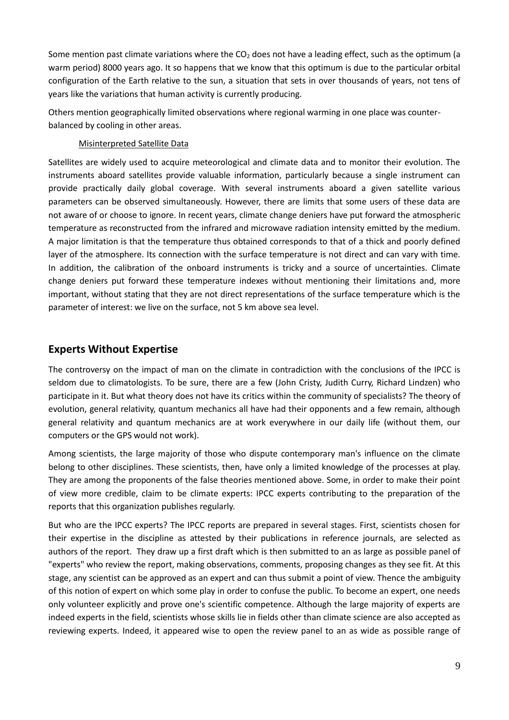Some mention past climate variations where the  $CO<sub>2</sub>$  does not have a leading effect, such as the optimum (a warm period) 8000 years ago. It so happens that we know that this optimum is due to the particular orbital configuration of the Earth relative to the sun, a situation that sets in over thousands of years, not tens of years like the variations that human activity is currently producing.

Others mention geographically limited observations where regional warming in one place was counterbalanced by cooling in other areas.

#### Misinterpreted Satellite Data

Satellites are widely used to acquire meteorological and climate data and to monitor their evolution. The instruments aboard satellites provide valuable information, particularly because a single instrument can provide practically daily global coverage. With several instruments aboard a given satellite various parameters can be observed simultaneously. However, there are limits that some users of these data are not aware of or choose to ignore. In recent years, climate change deniers have put forward the atmospheric temperature as reconstructed from the infrared and microwave radiation intensity emitted by the medium. A major limitation is that the temperature thus obtained corresponds to that of a thick and poorly defined layer of the atmosphere. Its connection with the surface temperature is not direct and can vary with time. In addition, the calibration of the onboard instruments is tricky and a source of uncertainties. Climate change deniers put forward these temperature indexes without mentioning their limitations and, more important, without stating that they are not direct representations of the surface temperature which is the parameter of interest: we live on the surface, not 5 km above sea level.

# **Experts Without Expertise**

The controversy on the impact of man on the climate in contradiction with the conclusions of the IPCC is seldom due to climatologists. To be sure, there are a few (John Cristy, Judith Curry, Richard Lindzen) who participate in it. But what theory does not have its critics within the community of specialists? The theory of evolution, general relativity, quantum mechanics all have had their opponents and a few remain, although general relativity and quantum mechanics are at work everywhere in our daily life (without them, our computers or the GPS would not work).

Among scientists, the large majority of those who dispute contemporary man's influence on the climate belong to other disciplines. These scientists, then, have only a limited knowledge of the processes at play. They are among the proponents of the false theories mentioned above. Some, in order to make their point of view more credible, claim to be climate experts: IPCC experts contributing to the preparation of the reports that this organization publishes regularly.

But who are the IPCC experts? The IPCC reports are prepared in several stages. First, scientists chosen for their expertise in the discipline as attested by their publications in reference journals, are selected as authors of the report. They draw up a first draft which is then submitted to an as large as possible panel of "experts" who review the report, making observations, comments, proposing changes as they see fit. At this stage, any scientist can be approved as an expert and can thus submit a point of view. Thence the ambiguity of this notion of expert on which some play in order to confuse the public. To become an expert, one needs only volunteer explicitly and prove one's scientific competence. Although the large majority of experts are indeed experts in the field, scientists whose skills lie in fields other than climate science are also accepted as reviewing experts. Indeed, it appeared wise to open the review panel to an as wide as possible range of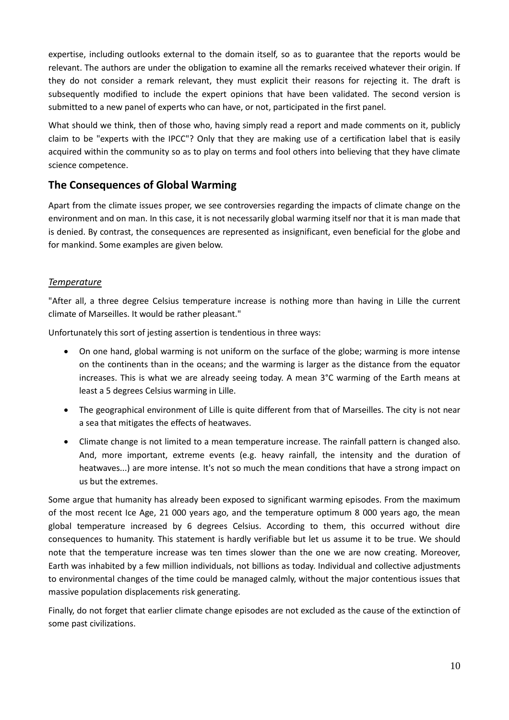expertise, including outlooks external to the domain itself, so as to guarantee that the reports would be relevant. The authors are under the obligation to examine all the remarks received whatever their origin. If they do not consider a remark relevant, they must explicit their reasons for rejecting it. The draft is subsequently modified to include the expert opinions that have been validated. The second version is submitted to a new panel of experts who can have, or not, participated in the first panel.

What should we think, then of those who, having simply read a report and made comments on it, publicly claim to be "experts with the IPCC"? Only that they are making use of a certification label that is easily acquired within the community so as to play on terms and fool others into believing that they have climate science competence.

# **The Consequences of Global Warming**

Apart from the climate issues proper, we see controversies regarding the impacts of climate change on the environment and on man. In this case, it is not necessarily global warming itself nor that it is man made that is denied. By contrast, the consequences are represented as insignificant, even beneficial for the globe and for mankind. Some examples are given below.

## *Temperature*

"After all, a three degree Celsius temperature increase is nothing more than having in Lille the current climate of Marseilles. It would be rather pleasant."

Unfortunately this sort of jesting assertion is tendentious in three ways:

- On one hand, global warming is not uniform on the surface of the globe; warming is more intense on the continents than in the oceans; and the warming is larger as the distance from the equator increases. This is what we are already seeing today. A mean 3°C warming of the Earth means at least a 5 degrees Celsius warming in Lille.
- The geographical environment of Lille is quite different from that of Marseilles. The city is not near a sea that mitigates the effects of heatwaves.
- Climate change is not limited to a mean temperature increase. The rainfall pattern is changed also. And, more important, extreme events (e.g. heavy rainfall, the intensity and the duration of heatwaves...) are more intense. It's not so much the mean conditions that have a strong impact on us but the extremes.

Some argue that humanity has already been exposed to significant warming episodes. From the maximum of the most recent Ice Age, 21 000 years ago, and the temperature optimum 8 000 years ago, the mean global temperature increased by 6 degrees Celsius. According to them, this occurred without dire consequences to humanity. This statement is hardly verifiable but let us assume it to be true. We should note that the temperature increase was ten times slower than the one we are now creating. Moreover, Earth was inhabited by a few million individuals, not billions as today. Individual and collective adjustments to environmental changes of the time could be managed calmly, without the major contentious issues that massive population displacements risk generating.

Finally, do not forget that earlier climate change episodes are not excluded as the cause of the extinction of some past civilizations.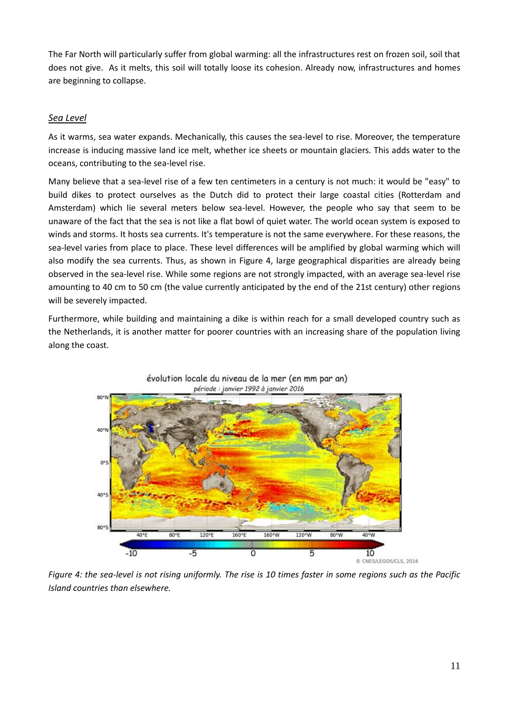The Far North will particularly suffer from global warming: all the infrastructures rest on frozen soil, soil that does not give. As it melts, this soil will totally loose its cohesion. Already now, infrastructures and homes are beginning to collapse.

## *Sea Level*

As it warms, sea water expands. Mechanically, this causes the sea-level to rise. Moreover, the temperature increase is inducing massive land ice melt, whether ice sheets or mountain glaciers. This adds water to the oceans, contributing to the sea-level rise.

Many believe that a sea-level rise of a few ten centimeters in a century is not much: it would be "easy" to build dikes to protect ourselves as the Dutch did to protect their large coastal cities (Rotterdam and Amsterdam) which lie several meters below sea-level. However, the people who say that seem to be unaware of the fact that the sea is not like a flat bowl of quiet water. The world ocean system is exposed to winds and storms. It hosts sea currents. It's temperature is not the same everywhere. For these reasons, the sea-level varies from place to place. These level differences will be amplified by global warming which will also modify the sea currents. Thus, as shown in Figure 4, large geographical disparities are already being observed in the sea-level rise. While some regions are not strongly impacted, with an average sea-level rise amounting to 40 cm to 50 cm (the value currently anticipated by the end of the 21st century) other regions will be severely impacted.

Furthermore, while building and maintaining a dike is within reach for a small developed country such as the Netherlands, it is another matter for poorer countries with an increasing share of the population living along the coast.



*Figure 4: the sea-level is not rising uniformly. The rise is 10 times faster in some regions such as the Pacific Island countries than elsewhere.*